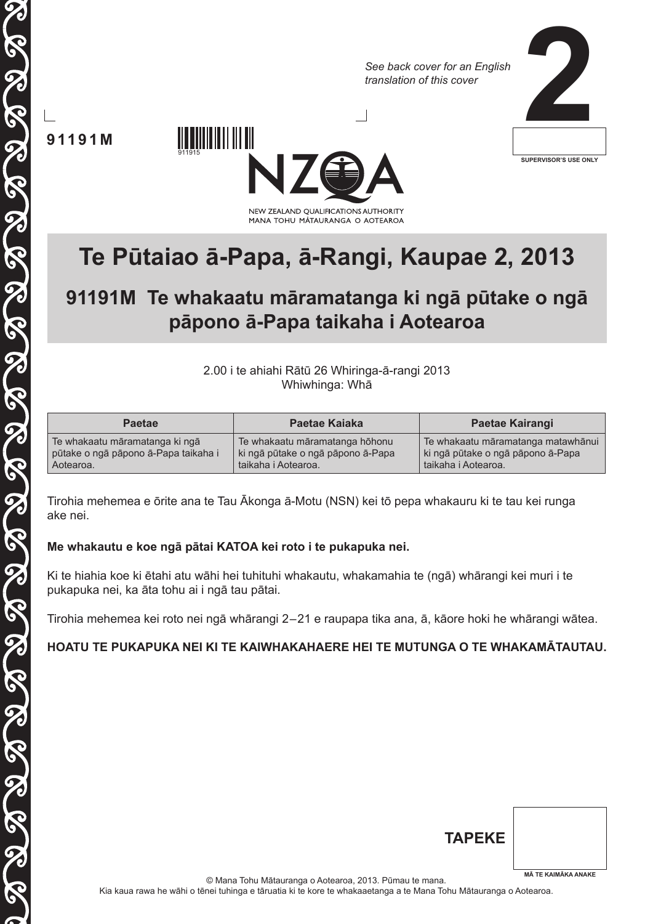*See back cover for an English translation of this cover*



**91191M**

YANG TANANG TANG TANG TANG TANG

S

911915



# **Te Pūtaiao ā-Papa, ā-Rangi, Kaupae 2, 2013**

# **91191M Te whakaatu māramatanga ki ngā pūtake o ngā pāpono ā-Papa taikaha i Aotearoa**

2.00 i te ahiahi Rātū 26 Whiringa-ā-rangi 2013 Whiwhinga: Whā

| <b>Paetae</b>                        | Paetae Kaiaka                     | Paetae Kairangi                    |
|--------------------------------------|-----------------------------------|------------------------------------|
| Te whakaatu māramatanga ki ngā       | Te whakaatu māramatanga hōhonu    | Te whakaatu māramatanga matawhānui |
| pūtake o ngā pāpono ā-Papa taikaha i | ki ngā pūtake o ngā pāpono ā-Papa | ki ngā pūtake o ngā pāpono ā-Papa  |
| Aotearoa.                            | taikaha i Aotearoa.               | taikaha i Aotearoa.                |

Tirohia mehemea e ōrite ana te Tau Ākonga ā-Motu (NSN) kei tō pepa whakauru ki te tau kei runga ake nei.

### **Me whakautu e koe ngā pātai KATOA kei roto i te pukapuka nei.**

Ki te hiahia koe ki ētahi atu wāhi hei tuhituhi whakautu, whakamahia te (ngā) whārangi kei muri i te pukapuka nei, ka āta tohu ai i ngā tau pātai.

Tirohia mehemea kei roto nei ngā whārangi 2 – 21 e raupapa tika ana, ā, kāore hoki he whārangi wātea.

# **HOATU TE PUKAPUKA NEI KI TE KAIWHAKAHAERE HEI TE MUTUNGA O TE WHAKAMĀTAUTAU.**

| <b>TAPEKE</b> |                            |
|---------------|----------------------------|
|               | <b>MĀ TE KAIMĀKA ANAKE</b> |

© Mana Tohu Mātauranga o Aotearoa, 2013. Pūmau te mana. Kia kaua rawa he wāhi o tēnei tuhinga e tāruatia ki te kore te whakaaetanga a te Mana Tohu Mātauranga o Aotearoa.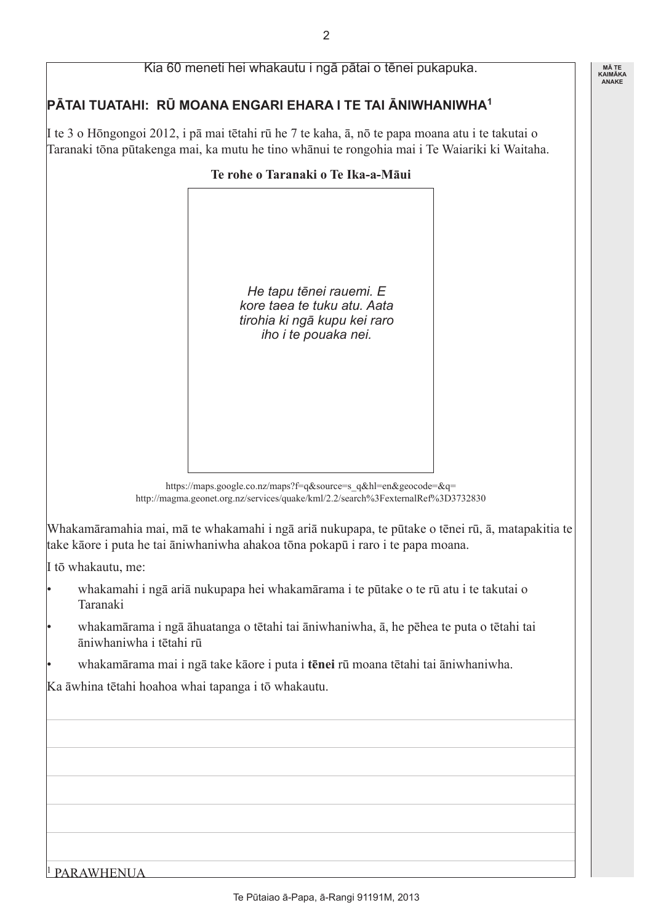**MĀ TE KAIMĀKA ANAKE** 

#### Kia 60 meneti hei whakautu i ngā pātai o tēnei pukapuka.

## **PĀTAI TUATAHI: RŪ MOANA ENGARI EHARA I TE TAI ĀNIWHANIWHA<sup>1</sup>**

I te 3 o Hōngongoi 2012, i pā mai tētahi rū he 7 te kaha, ā, nō te papa moana atu i te takutai o Taranaki tōna pūtakenga mai, ka mutu he tino whānui te rongohia mai i Te Waiariki ki Waitaha.

#### **Te rohe o Taranaki o Te Ika-a-Māui**



https://maps.google.co.nz/maps?f=q&source=s\_q&hl=en&geocode=&q= http://magma.geonet.org.nz/services/quake/kml/2.2/search%3FexternalRef%3D3732830

Whakamāramahia mai, mā te whakamahi i ngā ariā nukupapa, te pūtake o tēnei rū, ā, matapakitia te take kāore i puta he tai āniwhaniwha ahakoa tōna pokapū i raro i te papa moana.

I tō whakautu, me:

- whakamahi i ngā ariā nukupapa hei whakamārama i te pūtake o te rū atu i te takutai o Taranaki
- whakamārama i ngā āhuatanga o tētahi tai āniwhaniwha, ā, he pēhea te puta o tētahi tai āniwhaniwha i tētahi rū
- whakamārama mai i ngā take kāore i puta i **tēnei** rū moana tētahi tai āniwhaniwha.

Ka āwhina tētahi hoahoa whai tapanga i tō whakautu.

 $1$  PAR AWHENUA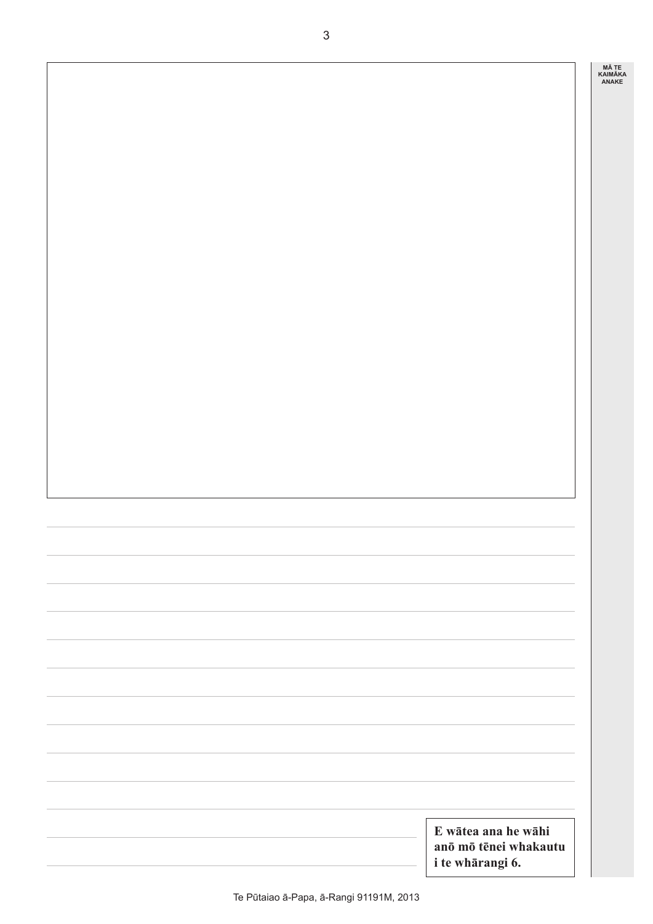**MĀ TE KAIMĀKA ANAKE** 

| Te Pūtaiao ā-Papa, ā-Rangi 91191M, 2013 |  |  |  |  |
|-----------------------------------------|--|--|--|--|
|-----------------------------------------|--|--|--|--|

**E wātea ana he wāhi anō mō tēnei whakautu i te whārangi 6.**

3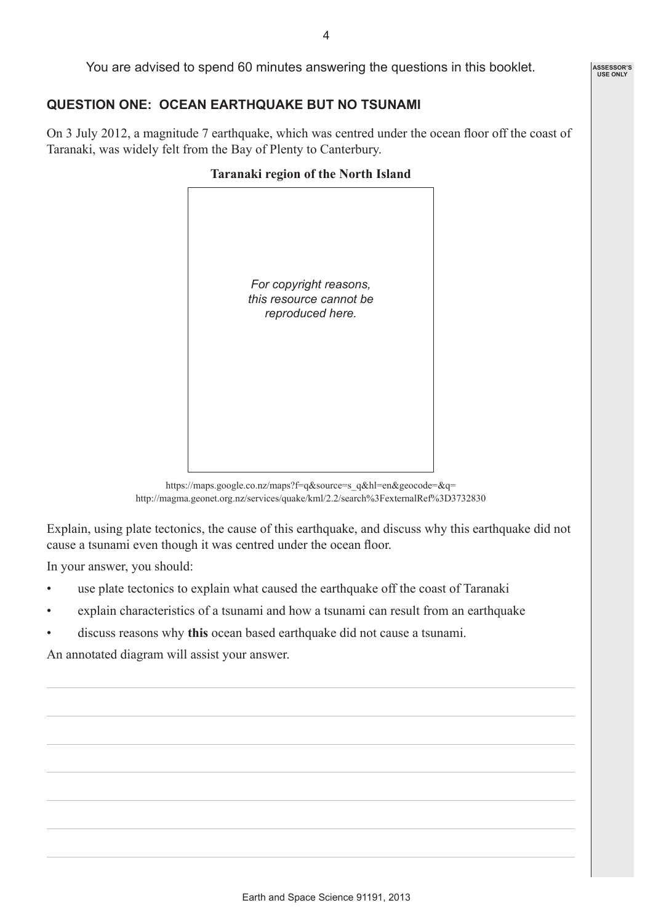You are advised to spend 60 minutes answering the questions in this booklet.

### **QUESTION ONE: OCEAN EARTHQUAKE BUT NO TSUNAMI**

On 3 July 2012, a magnitude 7 earthquake, which was centred under the ocean floor off the coast of Taranaki, was widely felt from the Bay of Plenty to Canterbury.

#### **Taranaki region of the North Island**



https://maps.google.co.nz/maps?f=q&source=s\_q&hl=en&geocode=&q= http://magma.geonet.org.nz/services/quake/kml/2.2/search%3FexternalRef%3D3732830

Explain, using plate tectonics, the cause of this earthquake, and discuss why this earthquake did not cause a tsunami even though it was centred under the ocean floor.

In your answer, you should:

- use plate tectonics to explain what caused the earthquake off the coast of Taranaki
- explain characteristics of a tsunami and how a tsunami can result from an earthquake
- discuss reasons why **this** ocean based earthquake did not cause a tsunami.

An annotated diagram will assist your answer.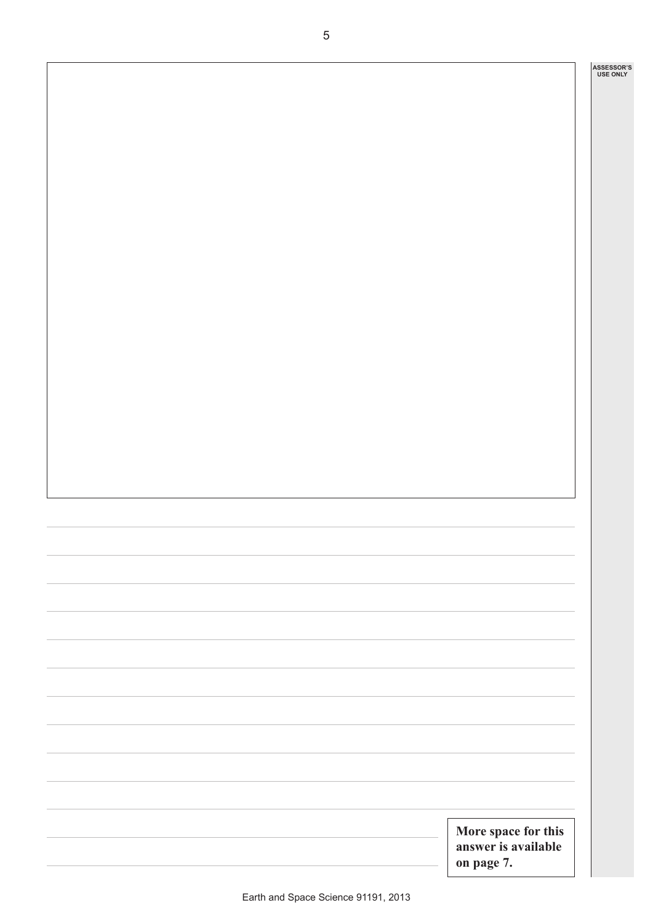| More space for this<br>answer is available<br>on page 7. |
|----------------------------------------------------------|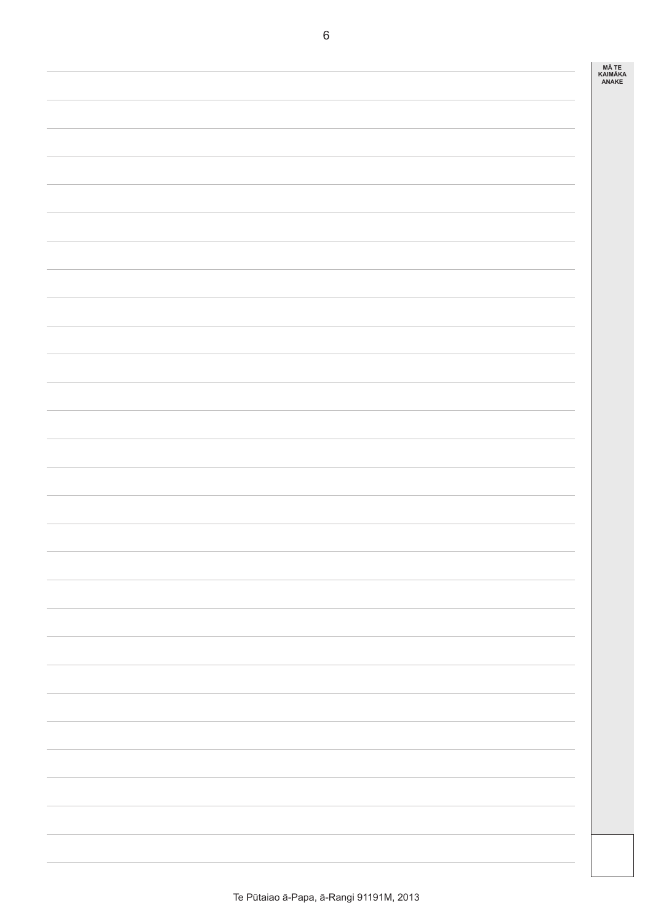| MÃ TE<br>KAIMÃK<br>ANAKE |  |
|--------------------------|--|
|                          |  |
|                          |  |
|                          |  |
|                          |  |
|                          |  |
|                          |  |
|                          |  |
|                          |  |
|                          |  |
|                          |  |
|                          |  |
|                          |  |
|                          |  |
|                          |  |
|                          |  |
|                          |  |
|                          |  |
|                          |  |
|                          |  |
|                          |  |
|                          |  |
|                          |  |
|                          |  |
|                          |  |
|                          |  |
|                          |  |
|                          |  |
|                          |  |
|                          |  |
|                          |  |
|                          |  |
|                          |  |
|                          |  |
|                          |  |
|                          |  |
|                          |  |
|                          |  |
|                          |  |
|                          |  |
|                          |  |
|                          |  |
|                          |  |
|                          |  |
|                          |  |
|                          |  |
|                          |  |
|                          |  |
|                          |  |
|                          |  |
|                          |  |
|                          |  |
|                          |  |
|                          |  |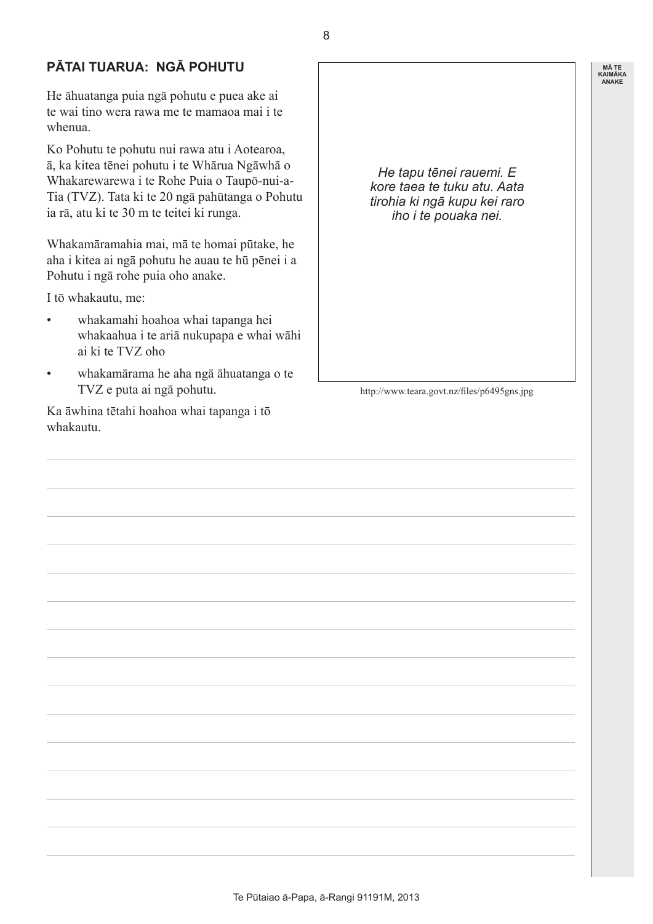## **PĀTAI TUARUA: NGĀ POHUTU**

He āhuatanga puia ngā pohutu e puea ake ai te wai tino wera rawa me te mamaoa mai i te whenua.

Ko Pohutu te pohutu nui rawa atu i Aotearoa, ā, ka kitea tēnei pohutu i te Whārua Ngāwhā o Whakarewarewa i te Rohe Puia o Taupō-nui-a-Tia (TVZ). Tata ki te 20 ngā pahūtanga o Pohutu ia rā, atu ki te 30 m te teitei ki runga.

Whakamāramahia mai, mā te homai pūtake, he aha i kitea ai ngā pohutu he auau te hū pēnei i a Pohutu i ngā rohe puia oho anake.

I tō whakautu, me:

- whakamahi hoahoa whai tapanga hei whakaahua i te ariā nukupapa e whai wāhi ai ki te TVZ oho
- whakamārama he aha ngā āhuatanga o te TVZ e puta ai ngā pohutu.

Ka āwhina tētahi hoahoa whai tapanga i tō whakautu.

*He tapu tēnei rauemi. E kore taea te tuku atu. Aata tirohia ki ngā kupu kei raro iho i te pouaka nei.*

**MĀ TE KAIMĀKA ANAKE** 

http://www.teara.govt.nz/files/p6495gns.jpg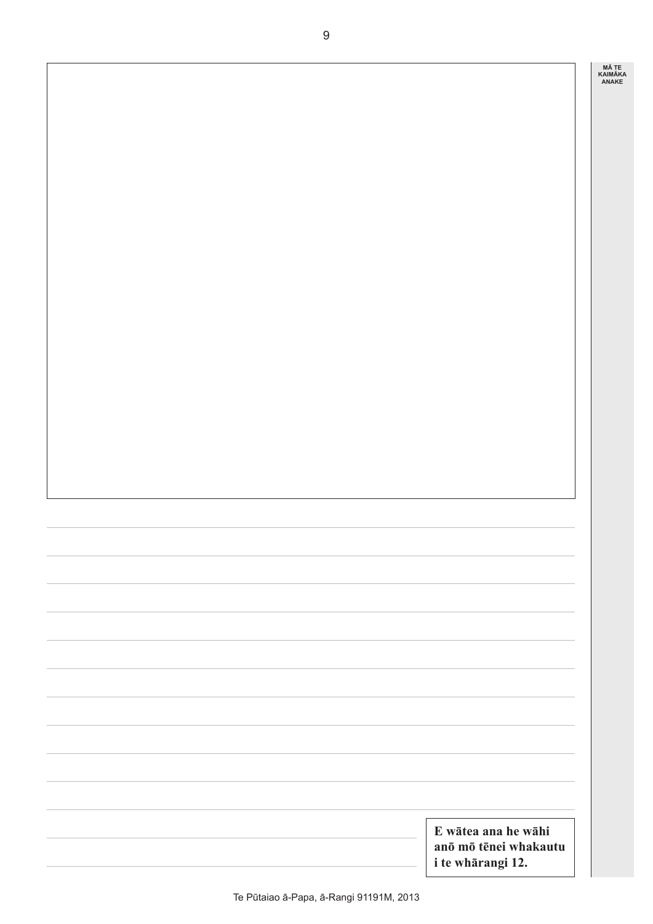| <b>MATE</b>    |
|----------------|
| <b>KAIMÄKA</b> |
| <b>ANAKE</b>   |

| Te Pūtaiao ā-Papa, ā-Rangi 91191M, 2013 |  |  |  |  |
|-----------------------------------------|--|--|--|--|
|-----------------------------------------|--|--|--|--|

**E wātea ana he wāhi anō mō tēnei whakautu** 

**i te whārangi 12.**

9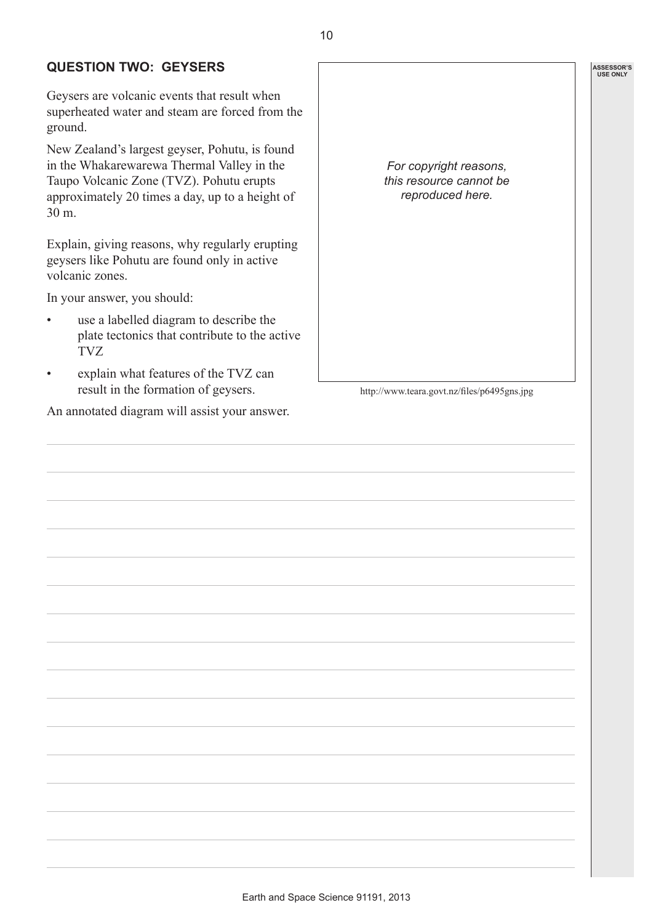### **QUESTION TWO: GEYSERS**

Geysers are volcanic events that result when superheated water and steam are forced from the ground.

New Zealand's largest geyser, Pohutu, is found in the Whakarewarewa Thermal Valley in the Taupo Volcanic Zone (TVZ). Pohutu erupts approximately 20 times a day, up to a height of 30 m.

Explain, giving reasons, why regularly erupting geysers like Pohutu are found only in active volcanic zones.

In your answer, you should:

- use a labelled diagram to describe the plate tectonics that contribute to the active TVZ
- explain what features of the TVZ can result in the formation of geysers.

An annotated diagram will assist your answer.

*For copyright reasons, this resource cannot be reproduced here.*

**ASSESSOR'S USE ONLY**

http://www.teara.govt.nz/files/p6495gns.jpg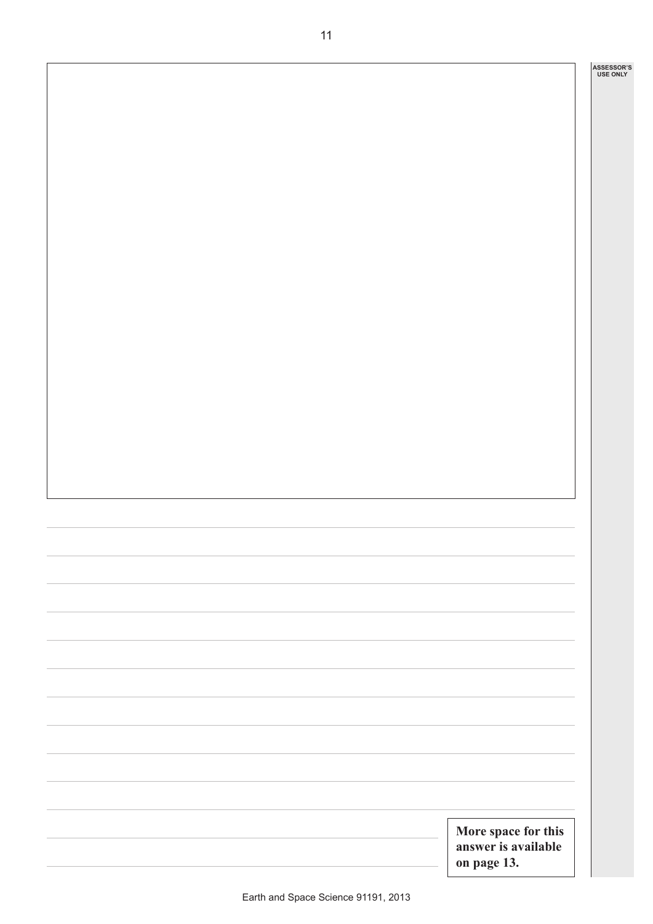| More space for this<br>answer is available<br>on page 13. |
|-----------------------------------------------------------|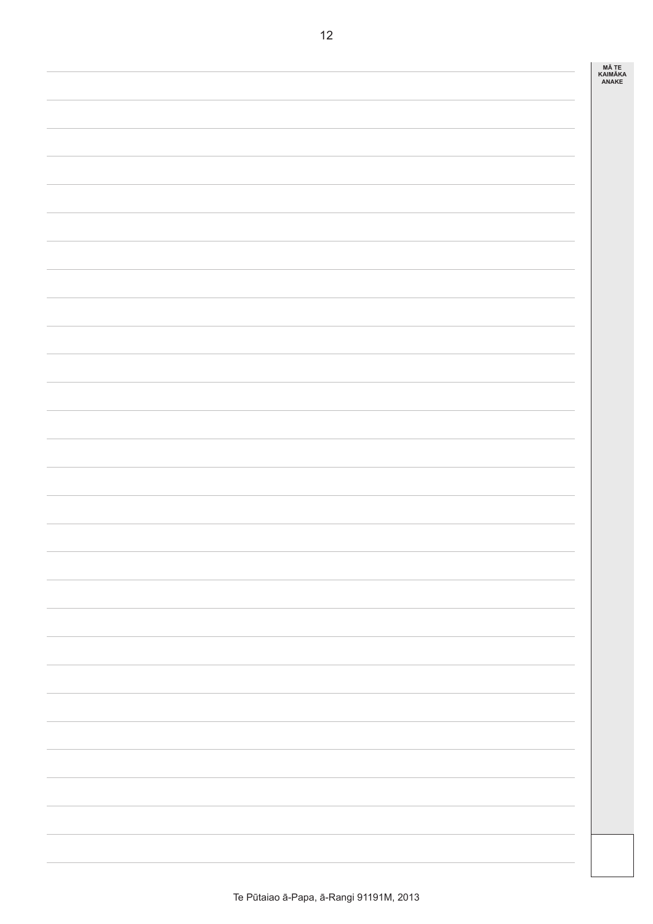| MÃ TE<br>KAIMÃKA<br>ANAKE |
|---------------------------|
|                           |
|                           |
|                           |
|                           |
|                           |
|                           |
|                           |
|                           |
|                           |
|                           |
|                           |
|                           |
|                           |
|                           |
|                           |
|                           |
|                           |
|                           |
|                           |
|                           |
|                           |
|                           |
|                           |
|                           |
|                           |
|                           |
|                           |
|                           |
|                           |
|                           |
|                           |
|                           |
|                           |
|                           |
|                           |
|                           |
|                           |
|                           |
|                           |
|                           |
|                           |
|                           |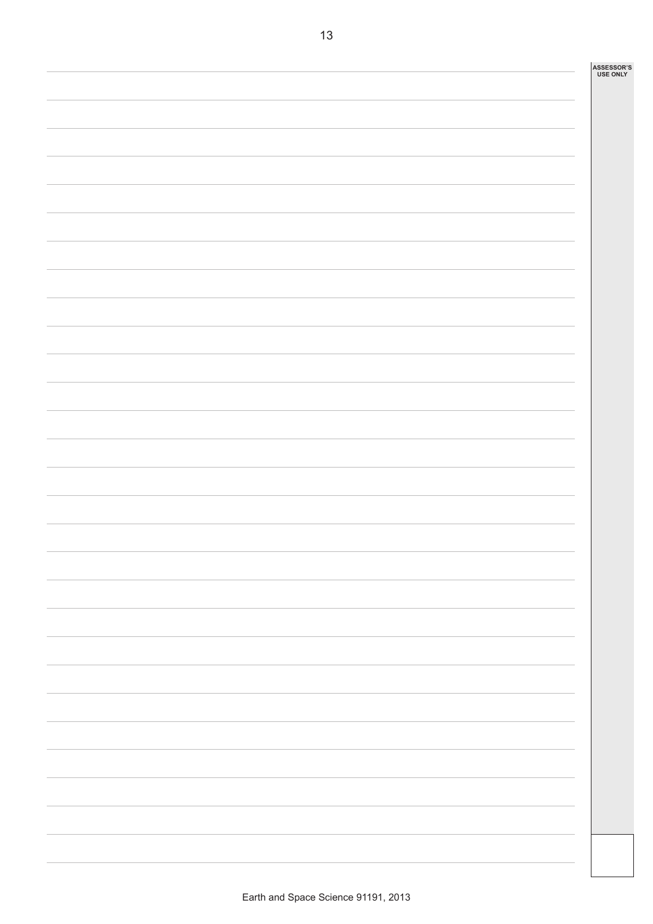|  |  | ASSESSOR'S<br>USE ONLY |
|--|--|------------------------|
|  |  |                        |
|  |  |                        |
|  |  |                        |
|  |  |                        |
|  |  |                        |
|  |  |                        |
|  |  |                        |
|  |  |                        |
|  |  |                        |
|  |  |                        |
|  |  |                        |
|  |  |                        |
|  |  |                        |
|  |  |                        |
|  |  |                        |
|  |  |                        |
|  |  |                        |
|  |  |                        |
|  |  |                        |
|  |  |                        |
|  |  |                        |
|  |  |                        |
|  |  |                        |
|  |  |                        |
|  |  |                        |
|  |  |                        |
|  |  |                        |
|  |  |                        |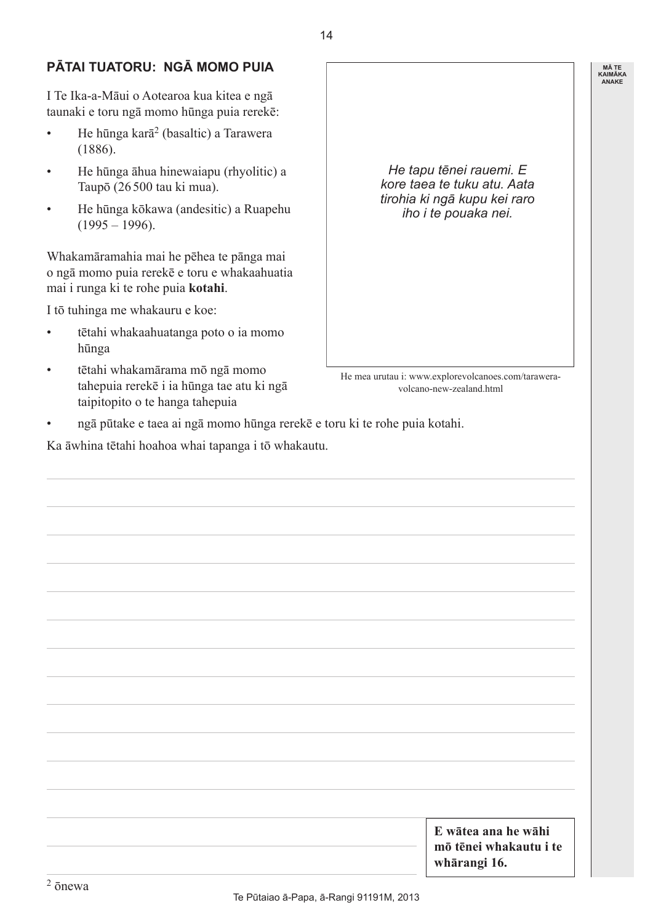## **PĀTAI TUATORU: NGĀ MOMO PUIA**

I Te Ika-a-Māui o Aotearoa kua kitea e ngā taunaki e toru ngā momo hūnga puia rerekē:

- He hūnga karā<sup>2</sup> (basaltic) a Tarawera (1886).
- He hūnga āhua hinewaiapu (rhyolitic) a Taupō (26500 tau ki mua).
- He hūnga kōkawa (andesitic) a Ruapehu  $(1995 - 1996)$ .

Whakamāramahia mai he pēhea te pānga mai o ngā momo puia rerekē e toru e whakaahuatia mai i runga ki te rohe puia **kotahi**.

I tō tuhinga me whakauru e koe:

- tētahi whakaahuatanga poto o ia momo hūnga
- tētahi whakamārama mō ngā momo tahepuia rerekē i ia hūnga tae atu ki ngā taipitopito o te hanga tahepuia

*He tapu tēnei rauemi. E kore taea te tuku atu. Aata tirohia ki ngā kupu kei raro iho i te pouaka nei.*

**MĀ TE KAIMĀKA ANAKE** 

He mea urutau i: www.explorevolcanoes.com/taraweravolcano-new-zealand.html

• ngā pūtake e taea ai ngā momo hūnga rerekē e toru ki te rohe puia kotahi.

Ka āwhina tētahi hoahoa whai tapanga i tō whakautu.

**E wātea ana he wāhi mō tēnei whakautu i te whārangi 16.**

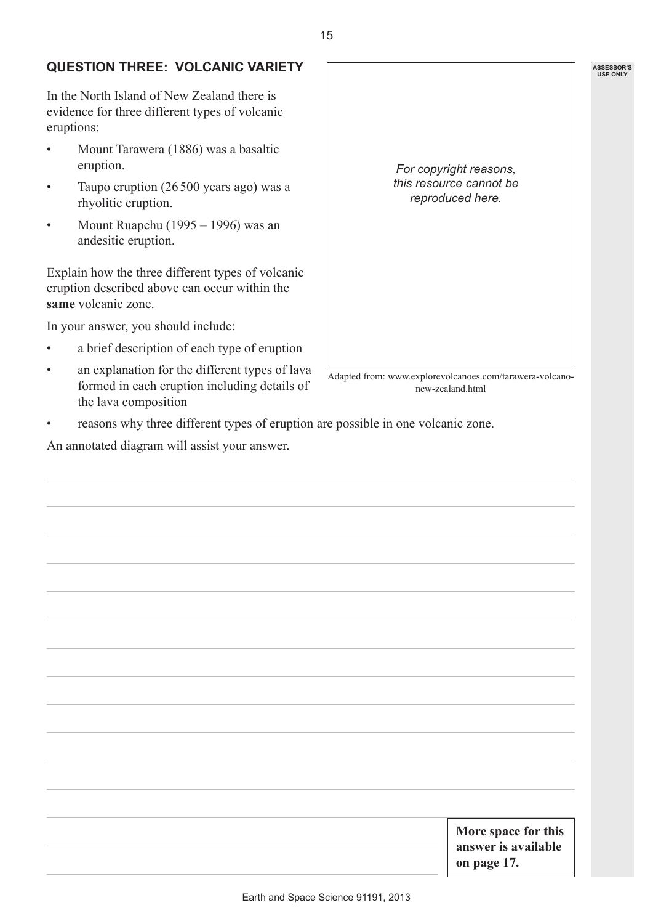#### **QUESTION THREE: VOLCANIC VARIETY**

In the North Island of New Zealand there is evidence for three different types of volcanic eruptions:

- Mount Tarawera (1886) was a basaltic eruption.
- Taupo eruption (26500 years ago) was a rhyolitic eruption.
- Mount Ruapehu (1995 1996) was an andesitic eruption.

Explain how the three different types of volcanic eruption described above can occur within the **same** volcanic zone.

In your answer, you should include:

- a brief description of each type of eruption
- an explanation for the different types of lava formed in each eruption including details of the lava composition

*For copyright reasons, this resource cannot be reproduced here.*

**ASSESSOR'S USE ONLY**

Adapted from: www.explorevolcanoes.com/tarawera-volcanonew-zealand.html

reasons why three different types of eruption are possible in one volcanic zone.

An annotated diagram will assist your answer.

| More space for this |
|---------------------|
| answer is available |
| on page 17.         |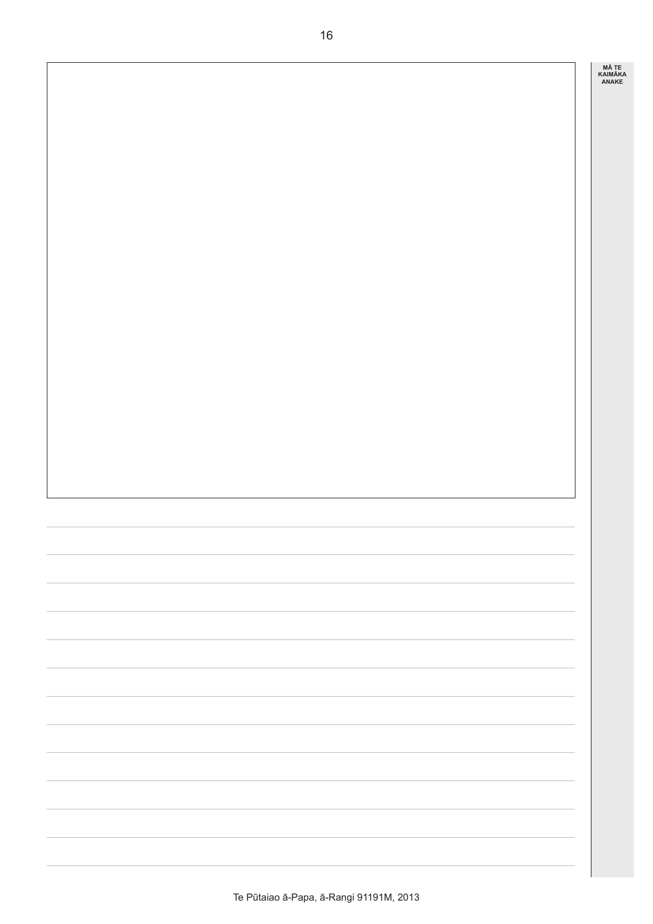# **MÃ TE<br>KAIMÃKA<br>ANAKE**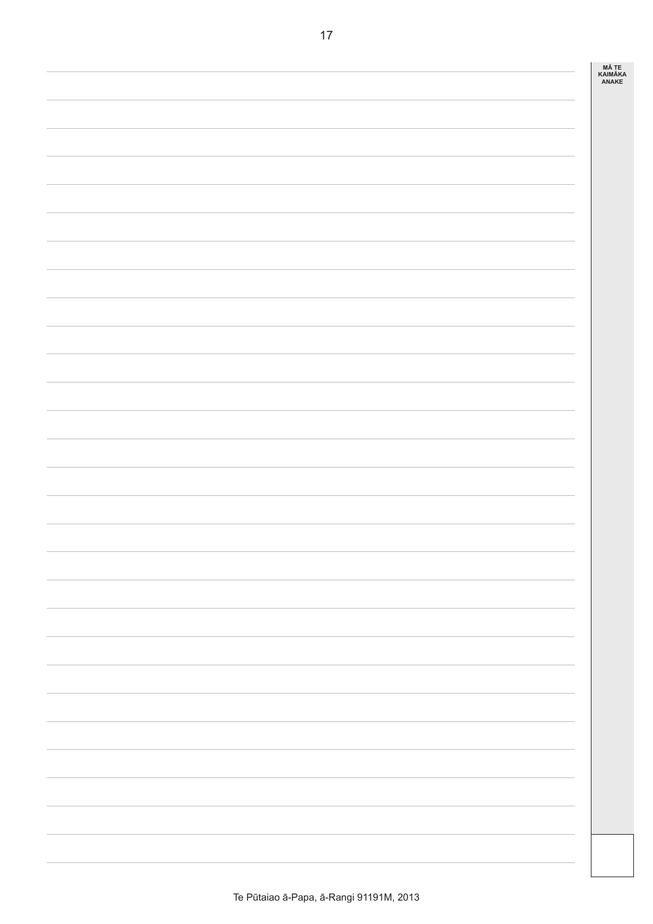| MÃ TE<br>KAIMÃKA<br>ANAKE |
|---------------------------|
|                           |
|                           |
|                           |
|                           |
|                           |
|                           |
|                           |
|                           |
|                           |
|                           |
|                           |
|                           |
|                           |
|                           |
|                           |
|                           |
|                           |
|                           |
|                           |
|                           |
|                           |
|                           |
|                           |
|                           |
|                           |
|                           |
|                           |
|                           |
|                           |
|                           |
|                           |
|                           |
|                           |
|                           |
|                           |
|                           |
|                           |
|                           |
|                           |
|                           |
|                           |
|                           |
|                           |
|                           |
|                           |
|                           |
|                           |
|                           |
|                           |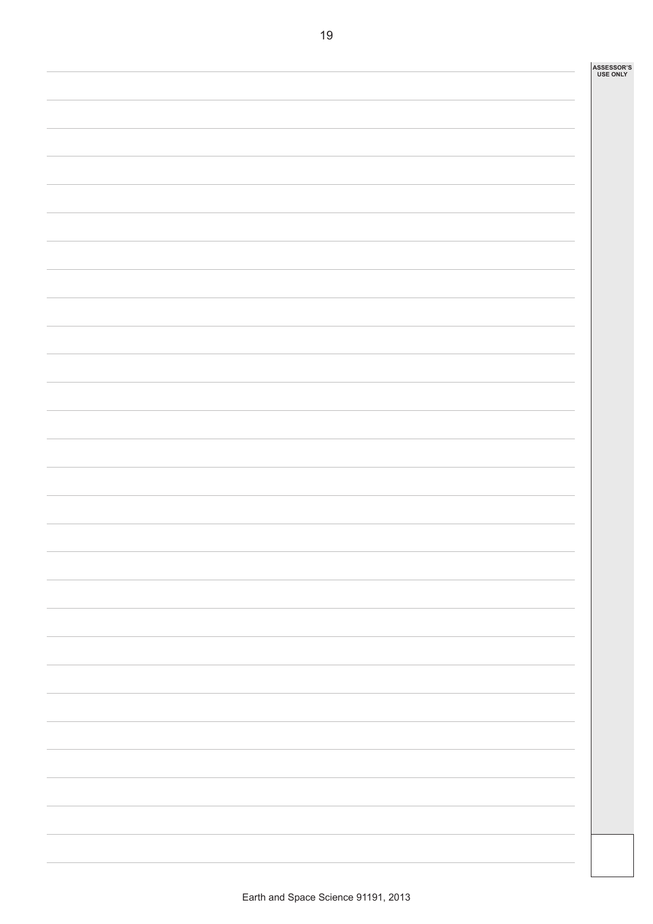| ASSESSOR'S<br><b>USE ONLY</b> |
|-------------------------------|
|                               |
|                               |
|                               |
|                               |
|                               |
|                               |
|                               |
|                               |
|                               |
|                               |
|                               |
|                               |
|                               |
|                               |
|                               |
|                               |
|                               |
|                               |
|                               |
|                               |
|                               |
|                               |
|                               |
|                               |
|                               |
|                               |
|                               |
|                               |
|                               |
|                               |
|                               |
|                               |
|                               |
|                               |
|                               |
|                               |
|                               |
|                               |
|                               |
|                               |
|                               |
|                               |
|                               |
|                               |
|                               |
|                               |
|                               |
|                               |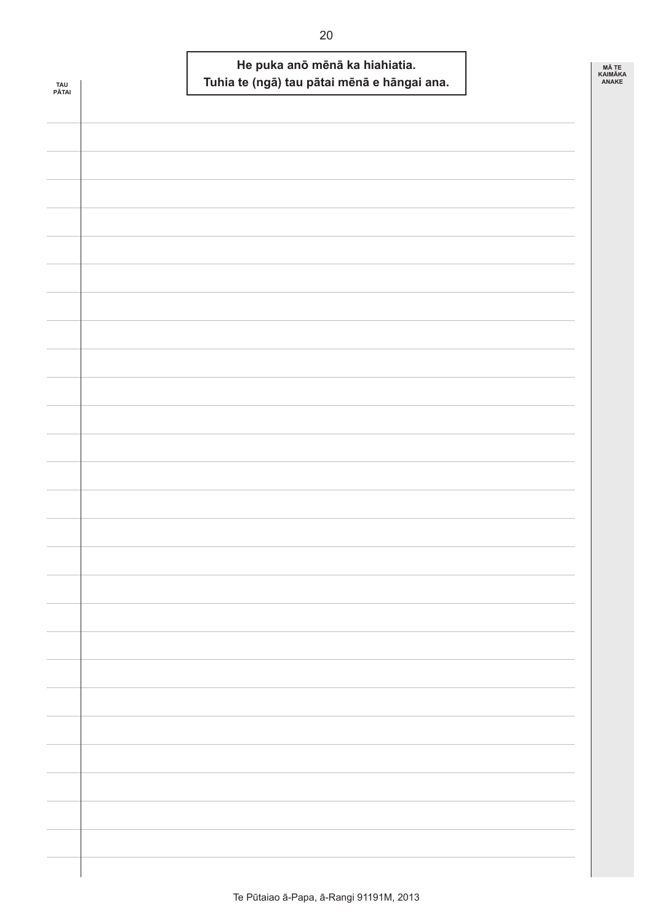|              | He puka anō mēnā ka hiahiatia.<br>Tuhia te (ngā) tau pātai mēnā e hāngai ana. | MÃ TE<br>KAIMĀKA<br>ANAKE |
|--------------|-------------------------------------------------------------------------------|---------------------------|
| TAU<br>PĀTAI |                                                                               |                           |
|              |                                                                               |                           |
|              |                                                                               |                           |
|              |                                                                               |                           |
|              |                                                                               |                           |
|              |                                                                               |                           |
|              |                                                                               |                           |
|              |                                                                               |                           |
|              |                                                                               |                           |
|              |                                                                               |                           |
|              |                                                                               |                           |
|              |                                                                               |                           |
|              |                                                                               |                           |
|              |                                                                               |                           |
|              |                                                                               |                           |
|              |                                                                               |                           |
|              |                                                                               |                           |
|              |                                                                               |                           |
|              |                                                                               |                           |
|              |                                                                               |                           |
|              |                                                                               |                           |
|              |                                                                               |                           |
|              |                                                                               |                           |
|              |                                                                               |                           |
|              |                                                                               |                           |
|              |                                                                               |                           |
|              |                                                                               |                           |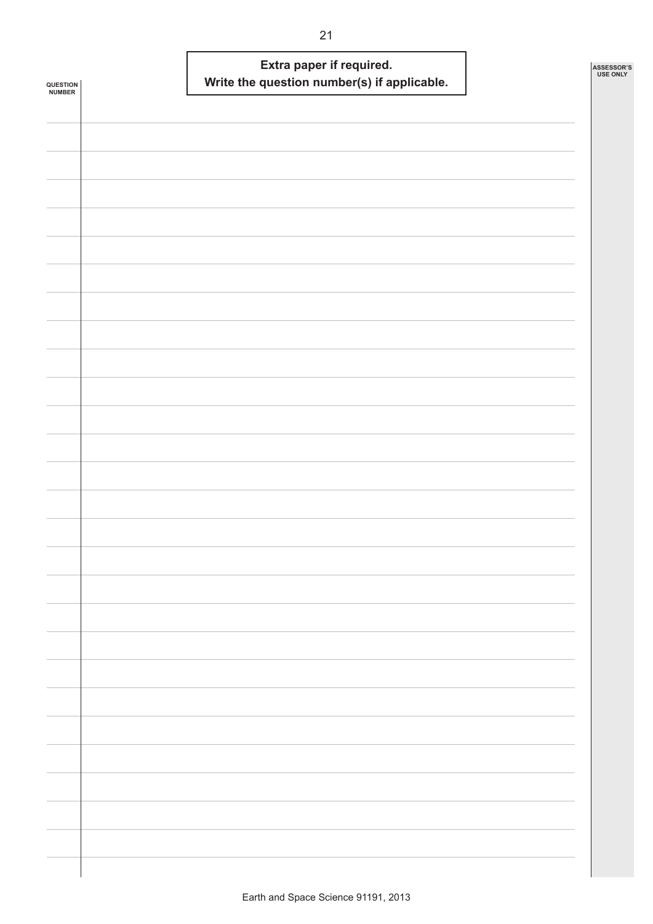| <b>QUESTION<br/>NUMBER</b> | Extra paper if required.<br>Write the question number(s) if applicable. | ASSESSOR'S<br><b>USE ONLY</b> |
|----------------------------|-------------------------------------------------------------------------|-------------------------------|
|                            |                                                                         |                               |
|                            |                                                                         |                               |
|                            |                                                                         |                               |
|                            |                                                                         |                               |
|                            |                                                                         |                               |
|                            |                                                                         |                               |
|                            |                                                                         |                               |
|                            |                                                                         |                               |
|                            |                                                                         |                               |
|                            |                                                                         |                               |
|                            |                                                                         |                               |
|                            |                                                                         |                               |
|                            |                                                                         |                               |
|                            |                                                                         |                               |
|                            |                                                                         |                               |
|                            |                                                                         |                               |
|                            |                                                                         |                               |
|                            |                                                                         |                               |
|                            |                                                                         |                               |
|                            |                                                                         |                               |
|                            |                                                                         |                               |
|                            |                                                                         |                               |
|                            |                                                                         |                               |
|                            |                                                                         |                               |
|                            |                                                                         |                               |
|                            |                                                                         |                               |